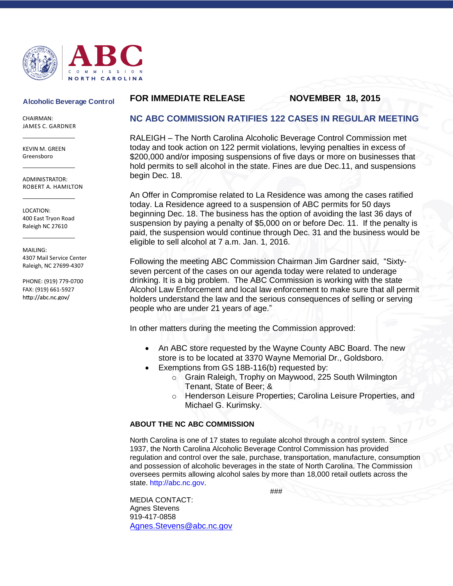

### **Alcoholic Beverage Control**

CHAIRMAN: JAMES C. GARDNER

KEVIN M. GREEN Greensboro

ADMINISTRATOR: ROBERT A. HAMILTON

LOCATION: 400 East Tryon Road Raleigh NC 27610

MAILING: 4307 Mail Service Center Raleigh, NC 27699-4307

PHONE: (919) 779-0700 FAX: (919) 661-5927 http://abc.nc.gov/

# **FOR IMMEDIATE RELEASE NOVEMBER 18, 2015**

# **NC ABC COMMISSION RATIFIES 122 CASES IN REGULAR MEETING**

RALEIGH – The North Carolina Alcoholic Beverage Control Commission met today and took action on 122 permit violations, levying penalties in excess of \$200,000 and/or imposing suspensions of five days or more on businesses that hold permits to sell alcohol in the state. Fines are due Dec.11, and suspensions begin Dec. 18.

An Offer in Compromise related to La Residence was among the cases ratified today. La Residence agreed to a suspension of ABC permits for 50 days beginning Dec. 18. The business has the option of avoiding the last 36 days of suspension by paying a penalty of \$5,000 on or before Dec. 11. If the penalty is paid, the suspension would continue through Dec. 31 and the business would be eligible to sell alcohol at 7 a.m. Jan. 1, 2016.

Following the meeting ABC Commission Chairman Jim Gardner said, "Sixtyseven percent of the cases on our agenda today were related to underage drinking. It is a big problem. The ABC Commission is working with the state Alcohol Law Enforcement and local law enforcement to make sure that all permit holders understand the law and the serious consequences of selling or serving people who are under 21 years of age."

In other matters during the meeting the Commission approved:

- An ABC store requested by the Wayne County ABC Board. The new store is to be located at 3370 Wayne Memorial Dr., Goldsboro.
- Exemptions from GS 18B-116(b) requested by:
	- o Grain Raleigh, Trophy on Maywood, 225 South Wilmington Tenant, State of Beer; &
	- o Henderson Leisure Properties; Carolina Leisure Properties, and Michael G. Kurimsky.

## **ABOUT THE NC ABC COMMISSION**

North Carolina is one of 17 states to regulate alcohol through a control system. Since 1937, the North Carolina Alcoholic Beverage Control Commission has provided regulation and control over the sale, purchase, transportation, manufacture, consumption and possession of alcoholic beverages in the state of North Carolina. The Commission oversees permits allowing alcohol sales by more than 18,000 retail outlets across the state. http://abc.nc.gov.

###

MEDIA CONTACT: Agnes Stevens 919-417-0858 [Agnes.Stevens@abc.nc.gov](mailto:Agnes.Stevens@abc.nc.gov)